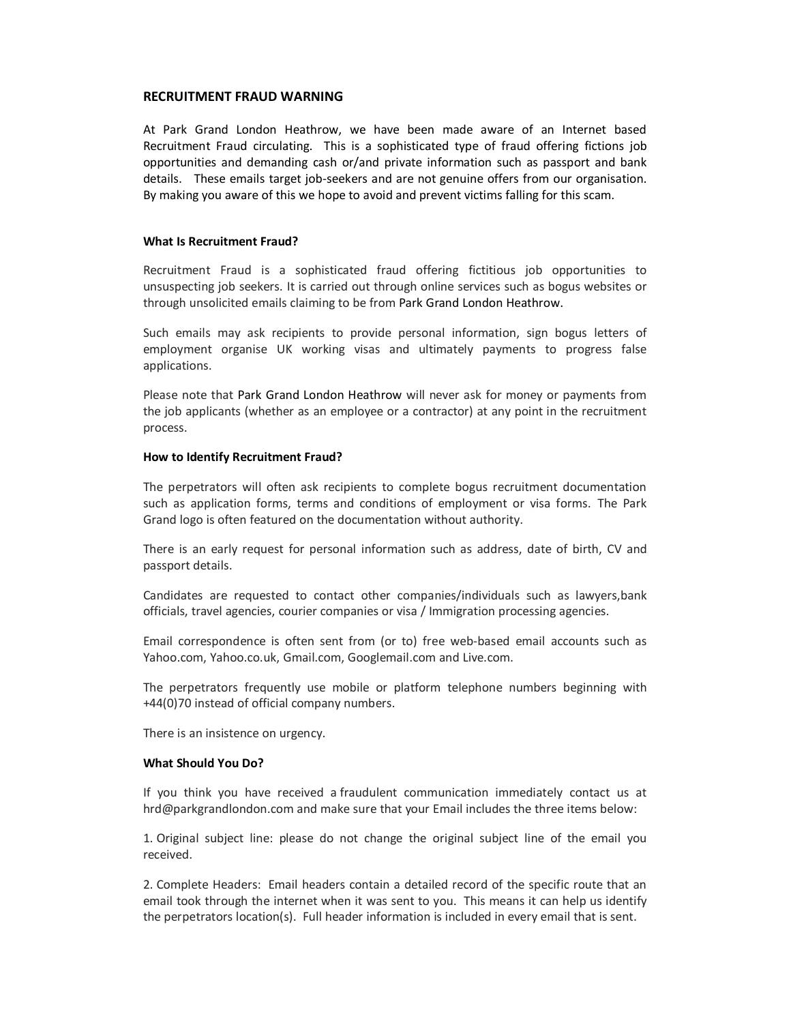#### **RECRUITMENT FRAUD WARNING**

At Park Grand London Heathrow, we have been made aware of an Internet based Recruitment Fraud circulating. This is a sophisticated type of fraud offering fictions job opportunities and demanding cash or/and private information such as passport and bank details. These emails target job-seekers and are not genuine offers from our organisation. By making you aware of this we hope to avoid and prevent victims falling for this scam.

## **What Is Recruitment Fraud?**

Recruitment Fraud is a sophisticated fraud offering fictitious job opportunities to unsuspecting job seekers. It is carried out through online services such as bogus websites or through unsolicited emails claiming to be from Park Grand London Heathrow.

Such emails may ask recipients to provide personal information, sign bogus letters of employment organise UK working visas and ultimately payments to progress false applications.

Please note that Park Grand London Heathrow will never ask for money or payments from the job applicants (whether as an employee or a contractor) at any point in the recruitment process.

## **How to Identify Recruitment Fraud?**

The perpetrators will often ask recipients to complete bogus recruitment documentation such as application forms, terms and conditions of employment or visa forms. The Park Grand logo is often featured on the documentation without authority.

There is an early request for personal information such as address, date of birth, CV and passport details.

Candidates are requested to contact other companies/individuals such as lawyers,bank officials, travel agencies, courier companies or visa / Immigration processing agencies.

Email correspondence is often sent from (or to) free web-based email accounts such as Yahoo.com, Yahoo.co.uk, Gmail.com, Googlemail.com and Live.com.

The perpetrators frequently use mobile or platform telephone numbers beginning with +44(0)70 instead of official company numbers.

There is an insistence on urgency.

#### **What Should You Do?**

If you think you have received a fraudulent communication immediately contact us at hrd@parkgrandlondon.com and make sure that your Email includes the three items below:

1. Original subject line: please do not change the original subject line of the email you received.

2. Complete Headers: Email headers contain a detailed record of the specific route that an email took through the internet when it was sent to you. This means it can help us identify the perpetrators location(s). Full header information is included in every email that is sent.